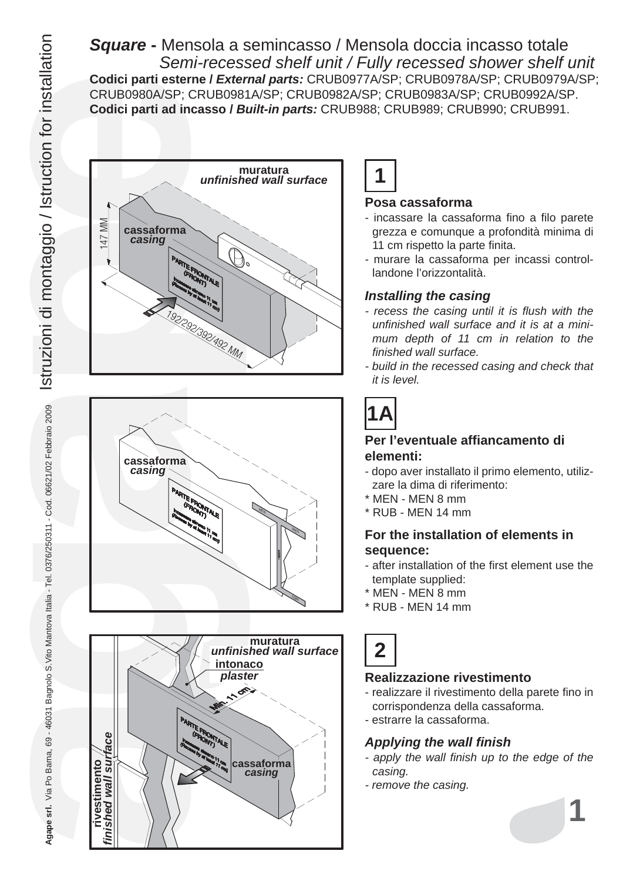*Square* **-** Mensola a semincasso / Mensola doccia incasso totale  *Semi-recessed shelf unit / Fully recessed shower shelf unit* **Codici parti esterne /** *External parts:* CRUB0977A/SP; CRUB0978A/SP; CRUB0979A/SP; CRUB0980A/SP; CRUB0981A/SP; CRUB0982A/SP; CRUB0983A/SP; CRUB0992A/SP. **Codici parti ad incasso /** *Built-in parts:* CRUB988; CRUB989; CRUB990; CRUB991.









#### **Posa cassaforma**

- incassare la cassaforma fino a filo parete grezza e comunque a profondità minima di 11 cm rispetto la parte finita.
- murare la cassaforma per incassi controllandone l'orizzontalità.

#### *Installing the casing*

- *recess the casing until it is flush with the unfinished wall surface and it is at a minimum depth of 11 cm in relation to the finished wall surface.*
- *build in the recessed casing and check that it is level.*

# **1A**

#### **Per l'eventuale affiancamento di elementi:**

- dopo aver installato il primo elemento, utilizzare la dima di riferimento:
- \* MEN MEN 8 mm
- \* RUB MEN 14 mm

### **For the installation of elements in sequence:**

- after installation of the first element use the template supplied:
- \* MEN MEN 8 mm
- \* RUB MEN 14 mm

**2**

# **Realizzazione rivestimento**

- realizzare il rivestimento della parete fino in corrispondenza della cassaforma.
- estrarre la cassaforma.

# *Applying the wall finish*

- *apply the wall finish up to the edge of the casing.*
- *remove the casing.*